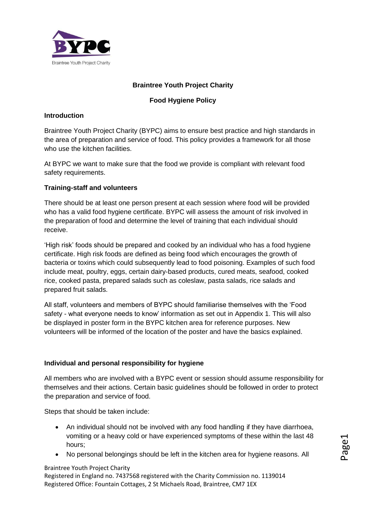

# **Braintree Youth Project Charity**

#### **Food Hygiene Policy**

#### **Introduction**

Braintree Youth Project Charity (BYPC) aims to ensure best practice and high standards in the area of preparation and service of food. This policy provides a framework for all those who use the kitchen facilities.

At BYPC we want to make sure that the food we provide is compliant with relevant food safety requirements.

## **Training-staff and volunteers**

There should be at least one person present at each session where food will be provided who has a valid food hygiene certificate. BYPC will assess the amount of risk involved in the preparation of food and determine the level of training that each individual should receive.

'High risk' foods should be prepared and cooked by an individual who has a food hygiene certificate. High risk foods are defined as being food which encourages the growth of bacteria or toxins which could subsequently lead to food poisoning. Examples of such food include meat, poultry, eggs, certain dairy-based products, cured meats, seafood, cooked rice, cooked pasta, prepared salads such as coleslaw, pasta salads, rice salads and prepared fruit salads.

All staff, volunteers and members of BYPC should familiarise themselves with the 'Food safety - what everyone needs to know' information as set out in Appendix 1. This will also be displayed in poster form in the BYPC kitchen area for reference purposes. New volunteers will be informed of the location of the poster and have the basics explained.

# **Individual and personal responsibility for hygiene**

All members who are involved with a BYPC event or session should assume responsibility for themselves and their actions. Certain basic guidelines should be followed in order to protect the preparation and service of food.

Steps that should be taken include:

- An individual should not be involved with any food handling if they have diarrhoea, vomiting or a heavy cold or have experienced symptoms of these within the last 48 hours;
- No personal belongings should be left in the kitchen area for hygiene reasons. All <sup>P</sup>

#### Braintree Youth Project Charity

Registered in England no. 7437568 registered with the Charity Commission no. 1139014 Registered Office: Fountain Cottages, 2 St Michaels Road, Braintree, CM7 1EX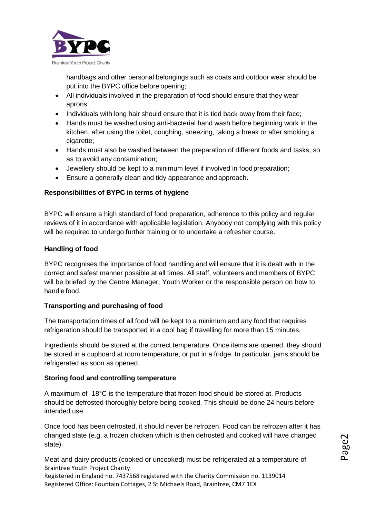

handbags and other personal belongings such as coats and outdoor wear should be put into the BYPC office before opening;

- All individuals involved in the preparation of food should ensure that they wear aprons.
- Individuals with long hair should ensure that it is tied back away from their face;
- Hands must be washed using anti-bacterial hand wash before beginning work in the kitchen, after using the toilet, coughing, sneezing, taking a break or after smoking a cigarette;
- Hands must also be washed between the preparation of different foods and tasks, so as to avoid any contamination;
- Jewellery should be kept to a minimum level if involved in foodpreparation;
- Ensure a generally clean and tidy appearance and approach.

## **Responsibilities of BYPC in terms of hygiene**

BYPC will ensure a high standard of food preparation, adherence to this policy and regular reviews of it in accordance with applicable legislation. Anybody not complying with this policy will be required to undergo further training or to undertake a refresher course.

## **Handling of food**

BYPC recognises the importance of food handling and will ensure that it is dealt with in the correct and safest manner possible at all times. All staff, volunteers and members of BYPC will be briefed by the Centre Manager, Youth Worker or the responsible person on how to handle food.

#### **Transporting and purchasing of food**

The transportation times of all food will be kept to a minimum and any food that requires refrigeration should be transported in a cool bag if travelling for more than 15 minutes.

Ingredients should be stored at the correct temperature. Once items are opened, they should be stored in a cupboard at room temperature, or put in a fridge. In particular, jams should be refrigerated as soon as opened.

#### **Storing food and controlling temperature**

A maximum of -18°C is the temperature that frozen food should be stored at. Products should be defrosted thoroughly before being cooked. This should be done 24 hours before intended use.

Once food has been defrosted, it should never be refrozen. Food can be refrozen after it has changed state (e.g. a frozen chicken which is then defrosted and cooked will have changed state).

Braintree Youth Project Charity Registered in England no. 7437568 registered with the Charity Commission no. 1139014 Meat and dairy products (cooked or uncooked) must be refrigerated at a temperature of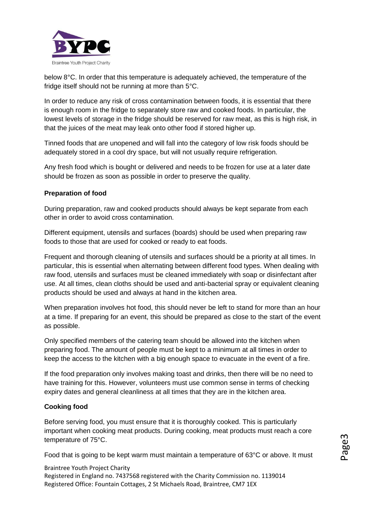

below 8°C. In order that this temperature is adequately achieved, the temperature of the fridge itself should not be running at more than 5°C.

In order to reduce any risk of cross contamination between foods, it is essential that there is enough room in the fridge to separately store raw and cooked foods. In particular, the lowest levels of storage in the fridge should be reserved for raw meat, as this is high risk, in that the juices of the meat may leak onto other food if stored higher up.

Tinned foods that are unopened and will fall into the category of low risk foods should be adequately stored in a cool dry space, but will not usually require refrigeration.

Any fresh food which is bought or delivered and needs to be frozen for use at a later date should be frozen as soon as possible in order to preserve the quality.

## **Preparation of food**

During preparation, raw and cooked products should always be kept separate from each other in order to avoid cross contamination.

Different equipment, utensils and surfaces (boards) should be used when preparing raw foods to those that are used for cooked or ready to eat foods.

Frequent and thorough cleaning of utensils and surfaces should be a priority at all times. In particular, this is essential when alternating between different food types. When dealing with raw food, utensils and surfaces must be cleaned immediately with soap or disinfectant after use. At all times, clean cloths should be used and anti-bacterial spray or equivalent cleaning products should be used and always at hand in the kitchen area.

When preparation involves hot food, this should never be left to stand for more than an hour at a time. If preparing for an event, this should be prepared as close to the start of the event as possible.

Only specified members of the catering team should be allowed into the kitchen when preparing food. The amount of people must be kept to a minimum at all times in order to keep the access to the kitchen with a big enough space to evacuate in the event of a fire.

If the food preparation only involves making toast and drinks, then there will be no need to have training for this. However, volunteers must use common sense in terms of checking expiry dates and general cleanliness at all times that they are in the kitchen area.

#### **Cooking food**

Before serving food, you must ensure that it is thoroughly cooked. This is particularly important when cooking meat products. During cooking, meat products must reach a core temperature of 75°C.

Food that is going to be kept warm must maintain a temperature of 63°C or above. It must

Braintree Youth Project Charity Registered in England no. 7437568 registered with the Charity Commission no. 1139014 Registered Office: Fountain Cottages, 2 St Michaels Road, Braintree, CM7 1EX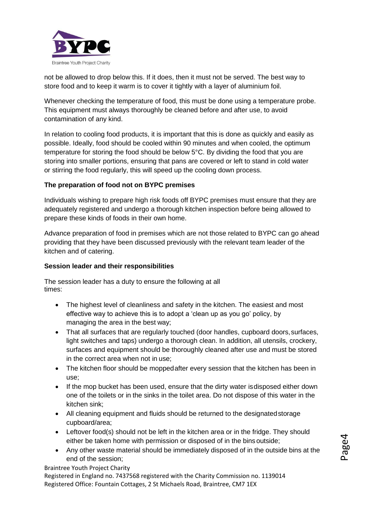

not be allowed to drop below this. If it does, then it must not be served. The best way to store food and to keep it warm is to cover it tightly with a layer of aluminium foil.

Whenever checking the temperature of food, this must be done using a temperature probe. This equipment must always thoroughly be cleaned before and after use, to avoid contamination of any kind.

In relation to cooling food products, it is important that this is done as quickly and easily as possible. Ideally, food should be cooled within 90 minutes and when cooled, the optimum temperature for storing the food should be below 5°C. By dividing the food that you are storing into smaller portions, ensuring that pans are covered or left to stand in cold water or stirring the food regularly, this will speed up the cooling down process.

## **The preparation of food not on BYPC premises**

Individuals wishing to prepare high risk foods off BYPC premises must ensure that they are adequately registered and undergo a thorough kitchen inspection before being allowed to prepare these kinds of foods in their own home.

Advance preparation of food in premises which are not those related to BYPC can go ahead providing that they have been discussed previously with the relevant team leader of the kitchen and of catering.

#### **Session leader and their responsibilities**

The session leader has a duty to ensure the following at all times:

- The highest level of cleanliness and safety in the kitchen. The easiest and most effective way to achieve this is to adopt a 'clean up as you go' policy, by managing the area in the best way;
- That all surfaces that are regularly touched (door handles, cupboard doors, surfaces, light switches and taps) undergo a thorough clean. In addition, all utensils, crockery, surfaces and equipment should be thoroughly cleaned after use and must be stored in the correct area when not in use;
- The kitchen floor should be moppedafter every session that the kitchen has been in use;
- If the mop bucket has been used, ensure that the dirty water isdisposed either down one of the toilets or in the sinks in the toilet area. Do not dispose of this water in the kitchen sink;
- All cleaning equipment and fluids should be returned to the designatedstorage cupboard/area;
- Leftover food(s) should not be left in the kitchen area or in the fridge. They should either be taken home with permission or disposed of in the bins outside;
- Any other waste material should be immediately disposed of in the outside bins at the end of the session;

Braintree Youth Project Charity

Registered in England no. 7437568 registered with the Charity Commission no. 1139014 Registered Office: Fountain Cottages, 2 St Michaels Road, Braintree, CM7 1EX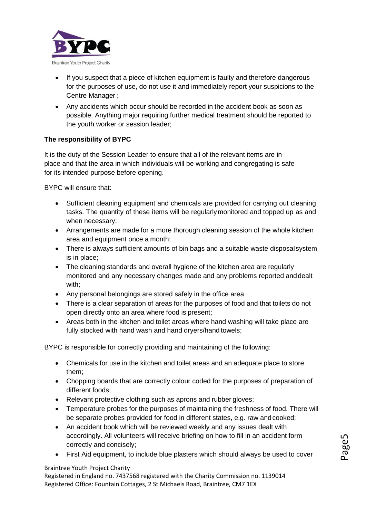

- If you suspect that a piece of kitchen equipment is faulty and therefore dangerous for the purposes of use, do not use it and immediately report your suspicions to the Centre Manager ;
- Any accidents which occur should be recorded in the accident book as soon as possible. Anything major requiring further medical treatment should be reported to the youth worker or session leader;

# **The responsibility of BYPC**

It is the duty of the Session Leader to ensure that all of the relevant items are in place and that the area in which individuals will be working and congregating is safe for its intended purpose before opening.

BYPC will ensure that:

- Sufficient cleaning equipment and chemicals are provided for carrying out cleaning tasks. The quantity of these items will be regularlymonitored and topped up as and when necessary;
- Arrangements are made for a more thorough cleaning session of the whole kitchen area and equipment once a month;
- There is always sufficient amounts of bin bags and a suitable waste disposalsystem is in place;
- The cleaning standards and overall hygiene of the kitchen area are regularly monitored and any necessary changes made and any problems reported anddealt with;
- Any personal belongings are stored safely in the office area
- There is a clear separation of areas for the purposes of food and that toilets do not open directly onto an area where food is present;
- Areas both in the kitchen and toilet areas where hand washing will take place are fully stocked with hand wash and hand dryers/hand towels;

BYPC is responsible for correctly providing and maintaining of the following:

- Chemicals for use in the kitchen and toilet areas and an adequate place to store them;
- Chopping boards that are correctly colour coded for the purposes of preparation of different foods;
- Relevant protective clothing such as aprons and rubber gloves;
- Temperature probes for the purposes of maintaining the freshness of food. There will be separate probes provided for food in different states, e.g. raw andcooked;
- An accident book which will be reviewed weekly and any issues dealt with accordingly. All volunteers will receive briefing on how to fill in an accident form correctly and concisely;
- First Aid equipment, to include blue plasters which should always be used to cover

Braintree Youth Project Charity

Registered in England no. 7437568 registered with the Charity Commission no. 1139014 Registered Office: Fountain Cottages, 2 St Michaels Road, Braintree, CM7 1EX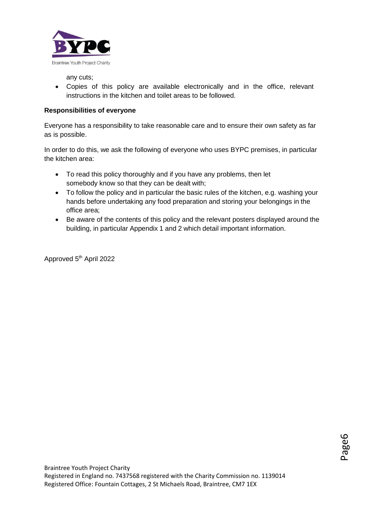

any cuts;

 Copies of this policy are available electronically and in the office, relevant instructions in the kitchen and toilet areas to be followed.

## **Responsibilities of everyone**

Everyone has a responsibility to take reasonable care and to ensure their own safety as far as is possible.

In order to do this, we ask the following of everyone who uses BYPC premises, in particular the kitchen area:

- To read this policy thoroughly and if you have any problems, then let somebody know so that they can be dealt with;
- To follow the policy and in particular the basic rules of the kitchen, e.g. washing your hands before undertaking any food preparation and storing your belongings in the office area;
- Be aware of the contents of this policy and the relevant posters displayed around the building, in particular Appendix 1 and 2 which detail important information.

Approved 5<sup>th</sup> April 2022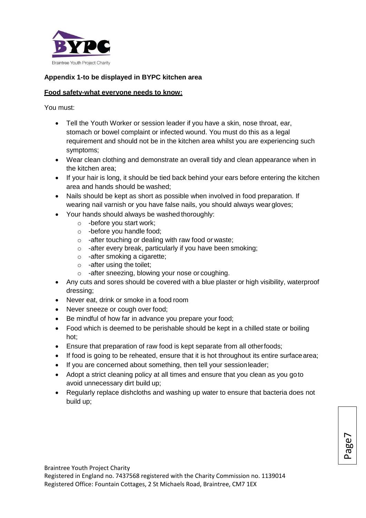

## **Appendix 1-to be displayed in BYPC kitchen area**

#### **Food safety-what everyone needs to know:**

You must:

- Tell the Youth Worker or session leader if you have a skin, nose throat, ear, stomach or bowel complaint or infected wound. You must do this as a legal requirement and should not be in the kitchen area whilst you are experiencing such symptoms;
- Wear clean clothing and demonstrate an overall tidy and clean appearance when in the kitchen area;
- If your hair is long, it should be tied back behind your ears before entering the kitchen area and hands should be washed;
- Nails should be kept as short as possible when involved in food preparation. If wearing nail varnish or you have false nails, you should always weargloves;
- Your hands should always be washed thoroughly:
	- o -before you start work;
	- o -before you handle food;
	- o -after touching or dealing with raw food or waste;
	- o -after every break, particularly if you have been smoking;
	- o -after smoking a cigarette;
	- o -after using the toilet;
	- o -after sneezing, blowing your nose or coughing.
- Any cuts and sores should be covered with a blue plaster or high visibility, waterproof dressing;
- Never eat, drink or smoke in a food room
- Never sneeze or cough over food;
- Be mindful of how far in advance you prepare your food;
- Food which is deemed to be perishable should be kept in a chilled state or boiling hot;
- Ensure that preparation of raw food is kept separate from all otherfoods;
- If food is going to be reheated, ensure that it is hot throughout its entire surface area;
- If you are concerned about something, then tell your session leader;
- Adopt a strict cleaning policy at all times and ensure that you clean as you goto avoid unnecessary dirt build up;
- Regularly replace dishcloths and washing up water to ensure that bacteria does not build up;